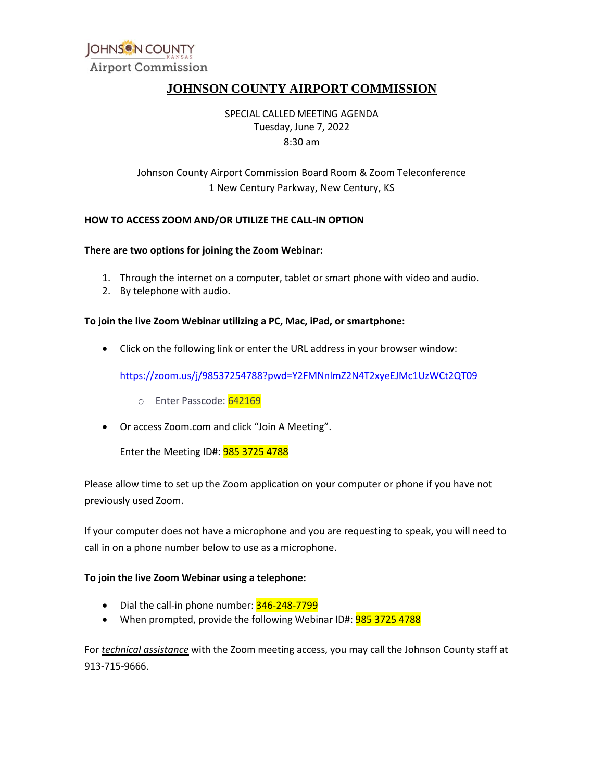

# **JOHNSON COUNTY AIRPORT COMMISSION**

 Tuesday, June 7, 2022 SPECIAL CALLED MEETING AGENDA 8:30 am

# Johnson County Airport Commission Board Room & Zoom Teleconference 1 New Century Parkway, New Century, KS

#### **HOW TO ACCESS ZOOM AND/OR UTILIZE THE CALL-IN OPTION**

#### **There are two options for joining the Zoom Webinar:**

- 1. Through the internet on a computer, tablet or smart phone with video and audio.
- 2. By telephone with audio.

#### **To join the live Zoom Webinar utilizing a PC, Mac, iPad, or smartphone:**

• Click on the following link or enter the URL address in your browser window:

https://zoom.us/j/98537254788?pwd=Y2FMNnlmZ2N4T2xyeEJMc1UzWCt2QT09<br>○ Enter Passcode: <mark>642169</mark><br>Or access Zoom.com and click "Join A Meeting".

- o Enter Passcode: 642169
- Or access [Zoom.com](https://Zoom.com) and click "Join A Meeting".

Enter the Meeting ID#: 985 3725 4788

 Please allow time to set up the Zoom application on your computer or phone if you have not previously used Zoom.

 If your computer does not have a microphone and you are requesting to speak, you will need to call in on a phone number below to use as a microphone.

### **To join the live Zoom Webinar using a telephone:**

- Dial the call-in phone number: 346-248-7799
- When prompted, provide the following Webinar ID#: **985 3725 4788**

For *technical assistance* with the Zoom meeting access, you may call the Johnson County staff at 913-715-9666.